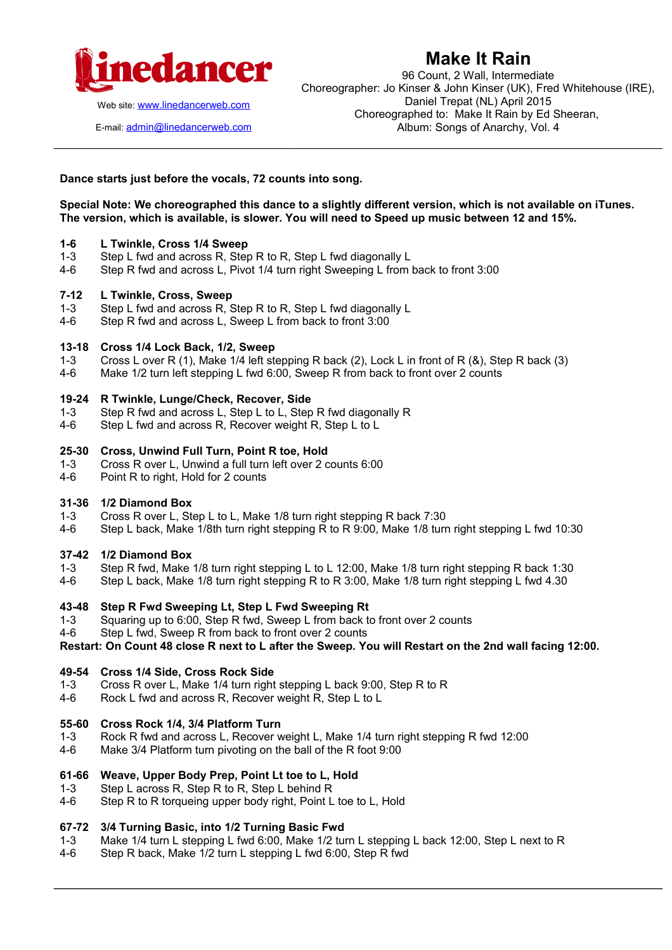

**Make It Rain**

Web site: [www.linedancerweb.com](http://www.linedancermagazine.com/)

E-mail: [admin@linedancerweb.com](mailto:admin@linedancerweb.com)

96 Count, 2 Wall, Intermediate Choreographer: Jo Kinser & John Kinser (UK), Fred Whitehouse (IRE), Daniel Trepat (NL) April 2015 Choreographed to: Make It Rain by Ed Sheeran, Album: Songs of Anarchy, Vol. 4

## **Dance starts just before the vocals, 72 counts into song.**

**Special Note: We choreographed this dance to a slightly different version, which is not available on iTunes. The version, which is available, is slower. You will need to Speed up music between 12 and 15%.**

### **1-6 L Twinkle, Cross 1/4 Sweep**

- 1-3 Step L fwd and across R, Step R to R, Step L fwd diagonally L
- 4-6 Step R fwd and across L, Pivot 1/4 turn right Sweeping L from back to front 3:00

### **7-12 L Twinkle, Cross, Sweep**

- 1-3 Step L fwd and across R, Step R to R, Step L fwd diagonally L
- 4-6 Step R fwd and across L, Sweep L from back to front 3:00

## **13-18 Cross 1/4 Lock Back, 1/2, Sweep**

- 1-3 Cross L over R (1), Make 1/4 left stepping R back (2), Lock L in front of R (&), Step R back (3)
- 4-6 Make 1/2 turn left stepping L fwd 6:00, Sweep R from back to front over 2 counts

### **19-24 R Twinkle, Lunge/Check, Recover, Side**

- 1-3 Step R fwd and across L, Step L to L, Step R fwd diagonally R<br>4-6 Step L fwd and across R, Recover weight R, Step L to L
- Step L fwd and across R, Recover weight R, Step L to L

### **25-30 Cross, Unwind Full Turn, Point R toe, Hold**

- 1-3 Cross R over L, Unwind a full turn left over 2 counts 6:00
- 4-6 Point R to right, Hold for 2 counts

#### **31-36 1/2 Diamond Box**

- 1-3 Cross R over L, Step L to L, Make 1/8 turn right stepping R back 7:30
- 4-6 Step L back, Make 1/8th turn right stepping R to R 9:00, Make 1/8 turn right stepping L fwd 10:30

#### **37-42 1/2 Diamond Box**

- 1-3 Step R fwd, Make 1/8 turn right stepping L to L 12:00, Make 1/8 turn right stepping R back 1:30
- 4-6 Step L back, Make 1/8 turn right stepping R to R 3:00, Make 1/8 turn right stepping L fwd 4.30

## **43-48 Step R Fwd Sweeping Lt, Step L Fwd Sweeping Rt**

- 1-3 Squaring up to 6:00, Step R fwd, Sweep L from back to front over 2 counts
- 4-6 Step L fwd, Sweep R from back to front over 2 counts

**Restart: On Count 48 close R next to L after the Sweep. You will Restart on the 2nd wall facing 12:00.**

## **49-54 Cross 1/4 Side, Cross Rock Side**

- 1-3 Cross R over L, Make 1/4 turn right stepping L back 9:00, Step R to R
- 4-6 Rock L fwd and across R, Recover weight R, Step L to L

## **55-60 Cross Rock 1/4, 3/4 Platform Turn**

- 1-3 Rock R fwd and across L, Recover weight L, Make 1/4 turn right stepping R fwd 12:00
- 4-6 Make 3/4 Platform turn pivoting on the ball of the R foot 9:00

#### **61-66 Weave, Upper Body Prep, Point Lt toe to L, Hold**

- 1-3 Step L across R, Step R to R, Step L behind R
- 4-6 Step R to R torqueing upper body right, Point L toe to L, Hold

## **67-72 3/4 Turning Basic, into 1/2 Turning Basic Fwd**

- 1-3 Make 1/4 turn L stepping L fwd 6:00, Make 1/2 turn L stepping L back 12:00, Step L next to R
- 4-6 Step R back, Make 1/2 turn L stepping L fwd 6:00, Step R fwd